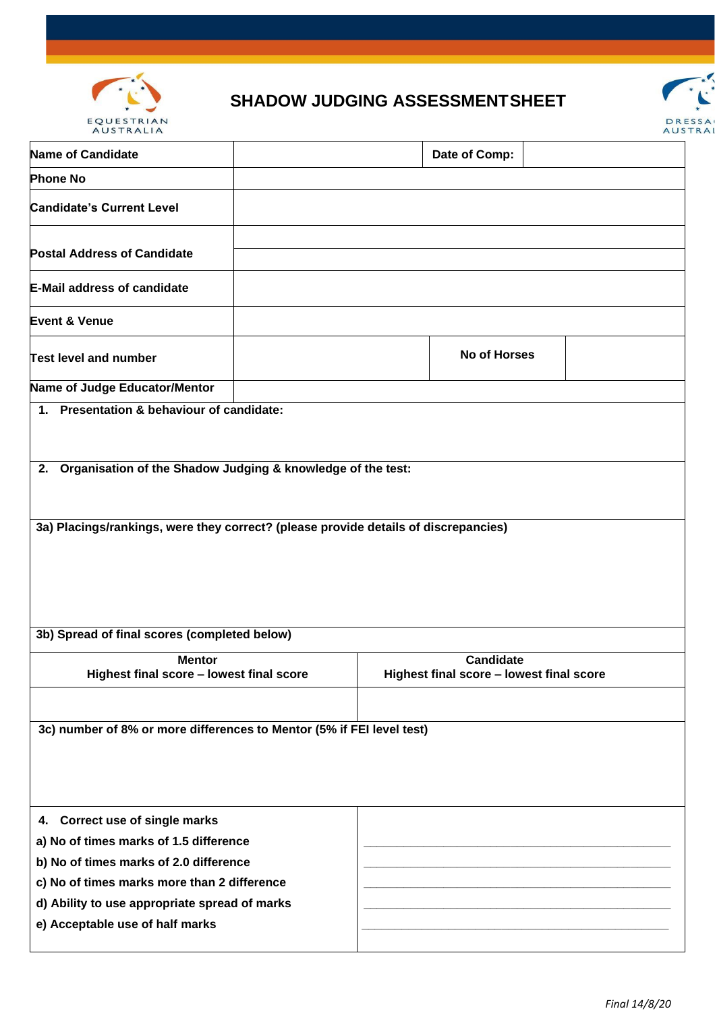

## **SHADOW JUDGING ASSESSMENTSHEET**



| Name of Candidate                                                                   |  |                                                              | Date of Comp:       |  |
|-------------------------------------------------------------------------------------|--|--------------------------------------------------------------|---------------------|--|
| <b>Phone No</b>                                                                     |  |                                                              |                     |  |
| <b>Candidate's Current Level</b>                                                    |  |                                                              |                     |  |
| <b>Postal Address of Candidate</b>                                                  |  |                                                              |                     |  |
| <b>E-Mail address of candidate</b>                                                  |  |                                                              |                     |  |
| <b>Event &amp; Venue</b>                                                            |  |                                                              |                     |  |
| <b>Test level and number</b>                                                        |  |                                                              | <b>No of Horses</b> |  |
| Name of Judge Educator/Mentor                                                       |  |                                                              |                     |  |
| 1. Presentation & behaviour of candidate:                                           |  |                                                              |                     |  |
| 2. Organisation of the Shadow Judging & knowledge of the test:                      |  |                                                              |                     |  |
| 3a) Placings/rankings, were they correct? (please provide details of discrepancies) |  |                                                              |                     |  |
| 3b) Spread of final scores (completed below)                                        |  |                                                              |                     |  |
| <b>Mentor</b><br>Highest final score - lowest final score                           |  | <b>Candidate</b><br>Highest final score - lowest final score |                     |  |
| 3c) number of 8% or more differences to Mentor (5% if FEI level test)               |  |                                                              |                     |  |
| 4. Correct use of single marks                                                      |  |                                                              |                     |  |
| a) No of times marks of 1.5 difference                                              |  |                                                              |                     |  |
| b) No of times marks of 2.0 difference                                              |  |                                                              |                     |  |
| c) No of times marks more than 2 difference                                         |  |                                                              |                     |  |
| d) Ability to use appropriate spread of marks                                       |  |                                                              |                     |  |
| e) Acceptable use of half marks                                                     |  |                                                              |                     |  |
|                                                                                     |  |                                                              |                     |  |